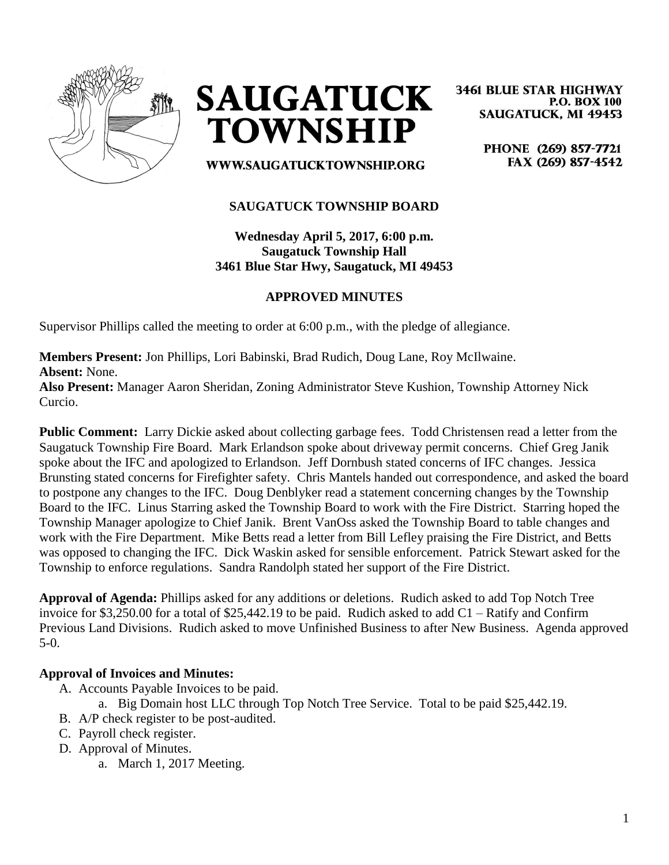



**3461 BLUE STAR HIGHWAY P.O. BOX 100 SAUGATUCK, MI 49453** 

> PHONE (269) 857-7721 FAX (269) 857-4542

WWW.SAUGATUCKTOWNSHIP.ORG

## **SAUGATUCK TOWNSHIP BOARD**

**Wednesday April 5, 2017, 6:00 p.m. Saugatuck Township Hall 3461 Blue Star Hwy, Saugatuck, MI 49453**

# **APPROVED MINUTES**

Supervisor Phillips called the meeting to order at 6:00 p.m., with the pledge of allegiance.

**Members Present:** Jon Phillips, Lori Babinski, Brad Rudich, Doug Lane, Roy McIlwaine. **Absent:** None.

**Also Present:** Manager Aaron Sheridan, Zoning Administrator Steve Kushion, Township Attorney Nick Curcio.

**Public Comment:** Larry Dickie asked about collecting garbage fees. Todd Christensen read a letter from the Saugatuck Township Fire Board. Mark Erlandson spoke about driveway permit concerns. Chief Greg Janik spoke about the IFC and apologized to Erlandson. Jeff Dornbush stated concerns of IFC changes. Jessica Brunsting stated concerns for Firefighter safety. Chris Mantels handed out correspondence, and asked the board to postpone any changes to the IFC. Doug Denblyker read a statement concerning changes by the Township Board to the IFC. Linus Starring asked the Township Board to work with the Fire District. Starring hoped the Township Manager apologize to Chief Janik. Brent VanOss asked the Township Board to table changes and work with the Fire Department. Mike Betts read a letter from Bill Lefley praising the Fire District, and Betts was opposed to changing the IFC. Dick Waskin asked for sensible enforcement. Patrick Stewart asked for the Township to enforce regulations. Sandra Randolph stated her support of the Fire District.

**Approval of Agenda:** Phillips asked for any additions or deletions. Rudich asked to add Top Notch Tree invoice for \$3,250.00 for a total of \$25,442.19 to be paid. Rudich asked to add C1 – Ratify and Confirm Previous Land Divisions. Rudich asked to move Unfinished Business to after New Business. Agenda approved 5-0.

### **Approval of Invoices and Minutes:**

- A. Accounts Payable Invoices to be paid.
	- a. Big Domain host LLC through Top Notch Tree Service. Total to be paid \$25,442.19.
- B. A/P check register to be post-audited.
- C. Payroll check register.
- D. Approval of Minutes.
	- a. March 1, 2017 Meeting.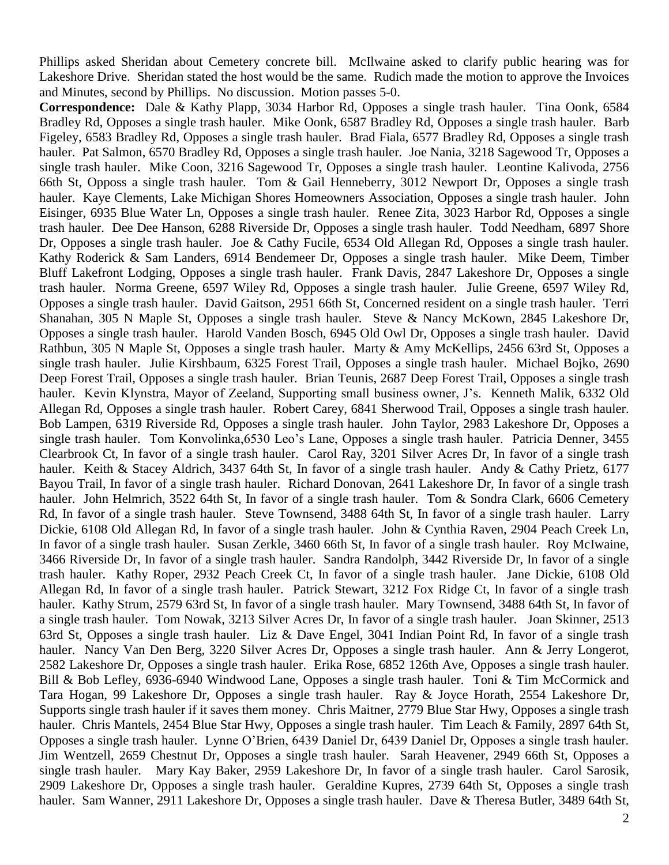Phillips asked Sheridan about Cemetery concrete bill. McIlwaine asked to clarify public hearing was for Lakeshore Drive. Sheridan stated the host would be the same. Rudich made the motion to approve the Invoices and Minutes, second by Phillips. No discussion. Motion passes 5-0.

**Correspondence:** Dale & Kathy Plapp, 3034 Harbor Rd, Opposes a single trash hauler. Tina Oonk, 6584 Bradley Rd, Opposes a single trash hauler. Mike Oonk, 6587 Bradley Rd, Opposes a single trash hauler. Barb Figeley, 6583 Bradley Rd, Opposes a single trash hauler. Brad Fiala, 6577 Bradley Rd, Opposes a single trash hauler. Pat Salmon, 6570 Bradley Rd, Opposes a single trash hauler. Joe Nania, 3218 Sagewood Tr, Opposes a single trash hauler. Mike Coon, 3216 Sagewood Tr, Opposes a single trash hauler. Leontine Kalivoda, 2756 66th St, Opposs a single trash hauler. Tom & Gail Henneberry, 3012 Newport Dr, Opposes a single trash hauler. Kaye Clements, Lake Michigan Shores Homeowners Association, Opposes a single trash hauler. John Eisinger, 6935 Blue Water Ln, Opposes a single trash hauler. Renee Zita, 3023 Harbor Rd, Opposes a single trash hauler. Dee Dee Hanson, 6288 Riverside Dr, Opposes a single trash hauler. Todd Needham, 6897 Shore Dr, Opposes a single trash hauler. Joe & Cathy Fucile, 6534 Old Allegan Rd, Opposes a single trash hauler. Kathy Roderick & Sam Landers, 6914 Bendemeer Dr, Opposes a single trash hauler. Mike Deem, Timber Bluff Lakefront Lodging, Opposes a single trash hauler. Frank Davis, 2847 Lakeshore Dr, Opposes a single trash hauler. Norma Greene, 6597 Wiley Rd, Opposes a single trash hauler. Julie Greene, 6597 Wiley Rd, Opposes a single trash hauler. David Gaitson, 2951 66th St, Concerned resident on a single trash hauler. Terri Shanahan, 305 N Maple St, Opposes a single trash hauler. Steve & Nancy McKown, 2845 Lakeshore Dr, Opposes a single trash hauler. Harold Vanden Bosch, 6945 Old Owl Dr, Opposes a single trash hauler. David Rathbun, 305 N Maple St, Opposes a single trash hauler. Marty & Amy McKellips, 2456 63rd St, Opposes a single trash hauler. Julie Kirshbaum, 6325 Forest Trail, Opposes a single trash hauler. Michael Bojko, 2690 Deep Forest Trail, Opposes a single trash hauler. Brian Teunis, 2687 Deep Forest Trail, Opposes a single trash hauler. Kevin Klynstra, Mayor of Zeeland, Supporting small business owner, J's. Kenneth Malik, 6332 Old Allegan Rd, Opposes a single trash hauler. Robert Carey, 6841 Sherwood Trail, Opposes a single trash hauler. Bob Lampen, 6319 Riverside Rd, Opposes a single trash hauler. John Taylor, 2983 Lakeshore Dr, Opposes a single trash hauler. Tom Konvolinka,6530 Leo's Lane, Opposes a single trash hauler. Patricia Denner, 3455 Clearbrook Ct, In favor of a single trash hauler. Carol Ray, 3201 Silver Acres Dr, In favor of a single trash hauler. Keith & Stacey Aldrich, 3437 64th St, In favor of a single trash hauler. Andy & Cathy Prietz, 6177 Bayou Trail, In favor of a single trash hauler. Richard Donovan, 2641 Lakeshore Dr, In favor of a single trash hauler. John Helmrich, 3522 64th St, In favor of a single trash hauler. Tom & Sondra Clark, 6606 Cemetery Rd, In favor of a single trash hauler. Steve Townsend, 3488 64th St, In favor of a single trash hauler. Larry Dickie, 6108 Old Allegan Rd, In favor of a single trash hauler. John & Cynthia Raven, 2904 Peach Creek Ln, In favor of a single trash hauler. Susan Zerkle, 3460 66th St, In favor of a single trash hauler. Roy McIwaine, 3466 Riverside Dr, In favor of a single trash hauler. Sandra Randolph, 3442 Riverside Dr, In favor of a single trash hauler. Kathy Roper, 2932 Peach Creek Ct, In favor of a single trash hauler. Jane Dickie, 6108 Old Allegan Rd, In favor of a single trash hauler. Patrick Stewart, 3212 Fox Ridge Ct, In favor of a single trash hauler. Kathy Strum, 2579 63rd St, In favor of a single trash hauler. Mary Townsend, 3488 64th St, In favor of a single trash hauler. Tom Nowak, 3213 Silver Acres Dr, In favor of a single trash hauler. Joan Skinner, 2513 63rd St, Opposes a single trash hauler. Liz & Dave Engel, 3041 Indian Point Rd, In favor of a single trash hauler. Nancy Van Den Berg, 3220 Silver Acres Dr, Opposes a single trash hauler. Ann & Jerry Longerot, 2582 Lakeshore Dr, Opposes a single trash hauler. Erika Rose, 6852 126th Ave, Opposes a single trash hauler. Bill & Bob Lefley, 6936-6940 Windwood Lane, Opposes a single trash hauler. Toni & Tim McCormick and Tara Hogan, 99 Lakeshore Dr, Opposes a single trash hauler. Ray & Joyce Horath, 2554 Lakeshore Dr, Supports single trash hauler if it saves them money. Chris Maitner, 2779 Blue Star Hwy, Opposes a single trash hauler. Chris Mantels, 2454 Blue Star Hwy, Opposes a single trash hauler. Tim Leach & Family, 2897 64th St, Opposes a single trash hauler. Lynne O'Brien, 6439 Daniel Dr, 6439 Daniel Dr, Opposes a single trash hauler. Jim Wentzell, 2659 Chestnut Dr, Opposes a single trash hauler. Sarah Heavener, 2949 66th St, Opposes a single trash hauler. Mary Kay Baker, 2959 Lakeshore Dr, In favor of a single trash hauler. Carol Sarosik, 2909 Lakeshore Dr, Opposes a single trash hauler. Geraldine Kupres, 2739 64th St, Opposes a single trash hauler. Sam Wanner, 2911 Lakeshore Dr, Opposes a single trash hauler. Dave & Theresa Butler, 3489 64th St,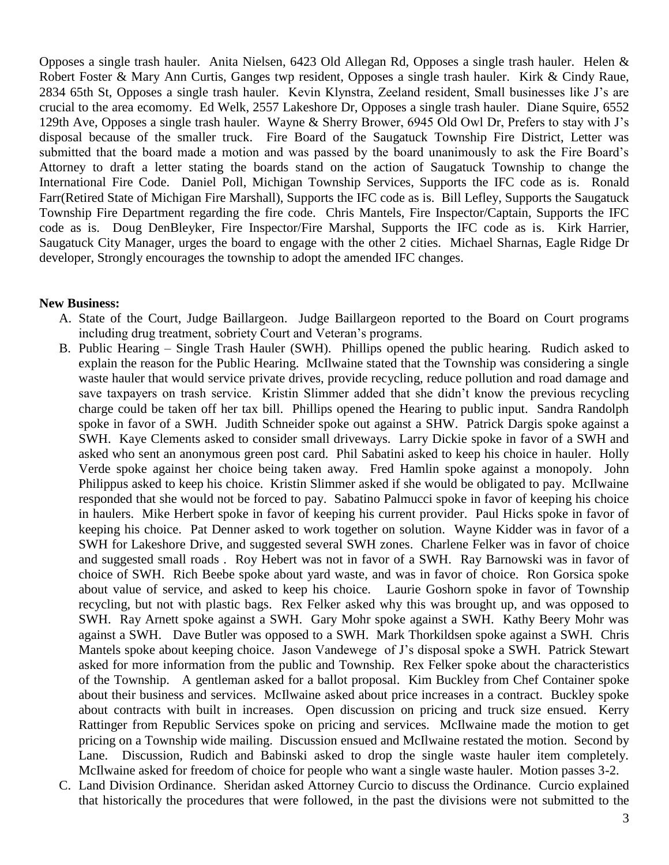Opposes a single trash hauler. Anita Nielsen, 6423 Old Allegan Rd, Opposes a single trash hauler. Helen & Robert Foster & Mary Ann Curtis, Ganges twp resident, Opposes a single trash hauler. Kirk & Cindy Raue, 2834 65th St, Opposes a single trash hauler. Kevin Klynstra, Zeeland resident, Small businesses like J's are crucial to the area ecomomy. Ed Welk, 2557 Lakeshore Dr, Opposes a single trash hauler. Diane Squire, 6552 129th Ave, Opposes a single trash hauler. Wayne & Sherry Brower, 6945 Old Owl Dr, Prefers to stay with J's disposal because of the smaller truck. Fire Board of the Saugatuck Township Fire District, Letter was submitted that the board made a motion and was passed by the board unanimously to ask the Fire Board's Attorney to draft a letter stating the boards stand on the action of Saugatuck Township to change the International Fire Code. Daniel Poll, Michigan Township Services, Supports the IFC code as is. Ronald Farr(Retired State of Michigan Fire Marshall), Supports the IFC code as is. Bill Lefley, Supports the Saugatuck Township Fire Department regarding the fire code. Chris Mantels, Fire Inspector/Captain, Supports the IFC code as is. Doug DenBleyker, Fire Inspector/Fire Marshal, Supports the IFC code as is. Kirk Harrier, Saugatuck City Manager, urges the board to engage with the other 2 cities. Michael Sharnas, Eagle Ridge Dr developer, Strongly encourages the township to adopt the amended IFC changes.

#### **New Business:**

- A. State of the Court, Judge Baillargeon. Judge Baillargeon reported to the Board on Court programs including drug treatment, sobriety Court and Veteran's programs.
- B. Public Hearing Single Trash Hauler (SWH). Phillips opened the public hearing. Rudich asked to explain the reason for the Public Hearing. McIlwaine stated that the Township was considering a single waste hauler that would service private drives, provide recycling, reduce pollution and road damage and save taxpayers on trash service. Kristin Slimmer added that she didn't know the previous recycling charge could be taken off her tax bill. Phillips opened the Hearing to public input. Sandra Randolph spoke in favor of a SWH. Judith Schneider spoke out against a SHW. Patrick Dargis spoke against a SWH. Kaye Clements asked to consider small driveways. Larry Dickie spoke in favor of a SWH and asked who sent an anonymous green post card. Phil Sabatini asked to keep his choice in hauler. Holly Verde spoke against her choice being taken away. Fred Hamlin spoke against a monopoly. John Philippus asked to keep his choice. Kristin Slimmer asked if she would be obligated to pay. McIlwaine responded that she would not be forced to pay. Sabatino Palmucci spoke in favor of keeping his choice in haulers. Mike Herbert spoke in favor of keeping his current provider. Paul Hicks spoke in favor of keeping his choice. Pat Denner asked to work together on solution. Wayne Kidder was in favor of a SWH for Lakeshore Drive, and suggested several SWH zones. Charlene Felker was in favor of choice and suggested small roads . Roy Hebert was not in favor of a SWH. Ray Barnowski was in favor of choice of SWH. Rich Beebe spoke about yard waste, and was in favor of choice. Ron Gorsica spoke about value of service, and asked to keep his choice. Laurie Goshorn spoke in favor of Township recycling, but not with plastic bags. Rex Felker asked why this was brought up, and was opposed to SWH. Ray Arnett spoke against a SWH. Gary Mohr spoke against a SWH. Kathy Beery Mohr was against a SWH. Dave Butler was opposed to a SWH. Mark Thorkildsen spoke against a SWH. Chris Mantels spoke about keeping choice. Jason Vandewege of J's disposal spoke a SWH. Patrick Stewart asked for more information from the public and Township. Rex Felker spoke about the characteristics of the Township. A gentleman asked for a ballot proposal. Kim Buckley from Chef Container spoke about their business and services. McIlwaine asked about price increases in a contract. Buckley spoke about contracts with built in increases. Open discussion on pricing and truck size ensued. Kerry Rattinger from Republic Services spoke on pricing and services. McIlwaine made the motion to get pricing on a Township wide mailing. Discussion ensued and McIlwaine restated the motion. Second by Lane. Discussion, Rudich and Babinski asked to drop the single waste hauler item completely. McIlwaine asked for freedom of choice for people who want a single waste hauler. Motion passes 3-2.
- C. Land Division Ordinance. Sheridan asked Attorney Curcio to discuss the Ordinance. Curcio explained that historically the procedures that were followed, in the past the divisions were not submitted to the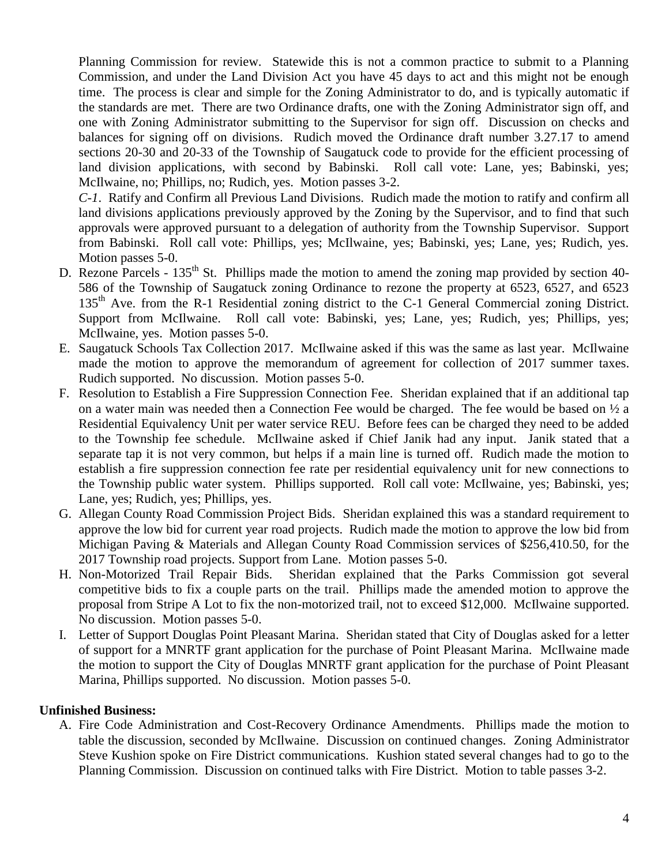Planning Commission for review. Statewide this is not a common practice to submit to a Planning Commission, and under the Land Division Act you have 45 days to act and this might not be enough time. The process is clear and simple for the Zoning Administrator to do, and is typically automatic if the standards are met. There are two Ordinance drafts, one with the Zoning Administrator sign off, and one with Zoning Administrator submitting to the Supervisor for sign off. Discussion on checks and balances for signing off on divisions. Rudich moved the Ordinance draft number 3.27.17 to amend sections 20-30 and 20-33 of the Township of Saugatuck code to provide for the efficient processing of land division applications, with second by Babinski. Roll call vote: Lane, yes; Babinski, yes; McIlwaine, no; Phillips, no; Rudich, yes. Motion passes 3-2.

*C-1*. Ratify and Confirm all Previous Land Divisions. Rudich made the motion to ratify and confirm all land divisions applications previously approved by the Zoning by the Supervisor, and to find that such approvals were approved pursuant to a delegation of authority from the Township Supervisor. Support from Babinski. Roll call vote: Phillips, yes; McIlwaine, yes; Babinski, yes; Lane, yes; Rudich, yes. Motion passes 5-0.

- D. Rezone Parcels  $135<sup>th</sup>$  St. Phillips made the motion to amend the zoning map provided by section 40-586 of the Township of Saugatuck zoning Ordinance to rezone the property at 6523, 6527, and 6523 135<sup>th</sup> Ave. from the R-1 Residential zoning district to the C-1 General Commercial zoning District. Support from McIlwaine. Roll call vote: Babinski, yes; Lane, yes; Rudich, yes; Phillips, yes; McIlwaine, yes. Motion passes 5-0.
- E. Saugatuck Schools Tax Collection 2017. McIlwaine asked if this was the same as last year. McIlwaine made the motion to approve the memorandum of agreement for collection of 2017 summer taxes. Rudich supported. No discussion. Motion passes 5-0.
- F. Resolution to Establish a Fire Suppression Connection Fee. Sheridan explained that if an additional tap on a water main was needed then a Connection Fee would be charged. The fee would be based on ½ a Residential Equivalency Unit per water service REU. Before fees can be charged they need to be added to the Township fee schedule. McIlwaine asked if Chief Janik had any input. Janik stated that a separate tap it is not very common, but helps if a main line is turned off. Rudich made the motion to establish a fire suppression connection fee rate per residential equivalency unit for new connections to the Township public water system. Phillips supported. Roll call vote: McIlwaine, yes; Babinski, yes; Lane, yes; Rudich, yes; Phillips, yes.
- G. Allegan County Road Commission Project Bids. Sheridan explained this was a standard requirement to approve the low bid for current year road projects. Rudich made the motion to approve the low bid from Michigan Paving & Materials and Allegan County Road Commission services of \$256,410.50, for the 2017 Township road projects. Support from Lane. Motion passes 5-0.
- H. Non-Motorized Trail Repair Bids. Sheridan explained that the Parks Commission got several competitive bids to fix a couple parts on the trail. Phillips made the amended motion to approve the proposal from Stripe A Lot to fix the non-motorized trail, not to exceed \$12,000. McIlwaine supported. No discussion. Motion passes 5-0.
- I. Letter of Support Douglas Point Pleasant Marina. Sheridan stated that City of Douglas asked for a letter of support for a MNRTF grant application for the purchase of Point Pleasant Marina. McIlwaine made the motion to support the City of Douglas MNRTF grant application for the purchase of Point Pleasant Marina, Phillips supported. No discussion. Motion passes 5-0.

### **Unfinished Business:**

A. Fire Code Administration and Cost-Recovery Ordinance Amendments. Phillips made the motion to table the discussion, seconded by McIlwaine. Discussion on continued changes. Zoning Administrator Steve Kushion spoke on Fire District communications. Kushion stated several changes had to go to the Planning Commission. Discussion on continued talks with Fire District. Motion to table passes 3-2.